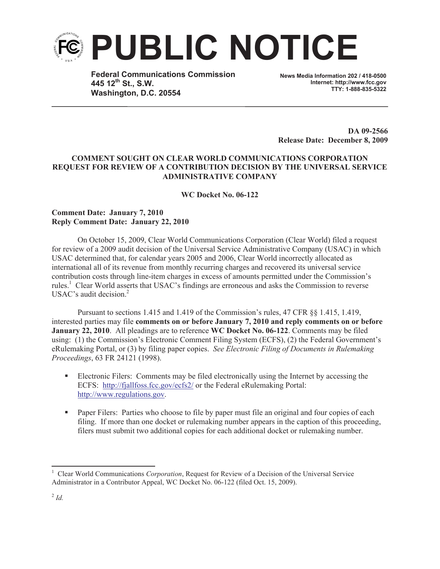

**Federal Communications Commission 445 12th St., S.W. Washington, D.C. 20554**

**News Media Information 202 / 418-0500 Internet: http://www.fcc.gov TTY: 1-888-835-5322**

**DA 09-2566 Release Date: December 8, 2009**

## **COMMENT SOUGHT ON CLEAR WORLD COMMUNICATIONS CORPORATION REQUEST FOR REVIEW OF A CONTRIBUTION DECISION BY THE UNIVERSAL SERVICE ADMINISTRATIVE COMPANY**

**WC Docket No. 06-122**

## **Comment Date: January 7, 2010 Reply Comment Date: January 22, 2010**

On October 15, 2009, Clear World Communications Corporation (Clear World) filed a request for review of a 2009 audit decision of the Universal Service Administrative Company (USAC) in which USAC determined that, for calendar years 2005 and 2006, Clear World incorrectly allocated as international all of its revenue from monthly recurring charges and recovered its universal service contribution costs through line-item charges in excess of amounts permitted under the Commission's rules.<sup>1</sup> Clear World asserts that USAC's findings are erroneous and asks the Commission to reverse USAC's audit decision.<sup>2</sup>

Pursuant to sections 1.415 and 1.419 of the Commission's rules, 47 CFR §§ 1.415, 1.419, interested parties may file **comments on or before January 7, 2010 and reply comments on or before January 22, 2010**. All pleadings are to reference **WC Docket No. 06-122**. Comments may be filed using: (1) the Commission's Electronic Comment Filing System (ECFS), (2) the Federal Government's eRulemaking Portal, or (3) by filing paper copies. *See Electronic Filing of Documents in Rulemaking Proceedings*, 63 FR 24121 (1998).

- Electronic Filers: Comments may be filed electronically using the Internet by accessing the ECFS: http://fjallfoss.fcc.gov/ecfs2/ or the Federal eRulemaking Portal: http://www.regulations.gov.
- Paper Filers: Parties who choose to file by paper must file an original and four copies of each filing. If more than one docket or rulemaking number appears in the caption of this proceeding, filers must submit two additional copies for each additional docket or rulemaking number.

<sup>1</sup> Clear World Communications *Corporation*, Request for Review of a Decision of the Universal Service Administrator in a Contributor Appeal, WC Docket No. 06-122 (filed Oct. 15, 2009).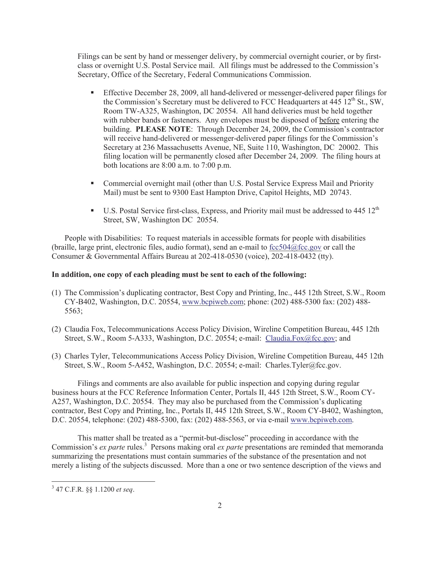Filings can be sent by hand or messenger delivery, by commercial overnight courier, or by firstclass or overnight U.S. Postal Service mail. All filings must be addressed to the Commission's Secretary, Office of the Secretary, Federal Communications Commission.

- § Effective December 28, 2009, all hand-delivered or messenger-delivered paper filings for the Commission's Secretary must be delivered to FCC Headquarters at  $445 \, 12^{th}$  St., SW, Room TW-A325, Washington, DC 20554. All hand deliveries must be held together with rubber bands or fasteners. Any envelopes must be disposed of before entering the building. **PLEASE NOTE**: Through December 24, 2009, the Commission's contractor will receive hand-delivered or messenger-delivered paper filings for the Commission's Secretary at 236 Massachusetts Avenue, NE, Suite 110, Washington, DC 20002. This filing location will be permanently closed after December 24, 2009. The filing hours at both locations are 8:00 a.m. to 7:00 p.m.
- Commercial overnight mail (other than U.S. Postal Service Express Mail and Priority Mail) must be sent to 9300 East Hampton Drive, Capitol Heights, MD 20743.
- **•** U.S. Postal Service first-class, Express, and Priority mail must be addressed to 445  $12<sup>th</sup>$ Street, SW, Washington DC 20554.

People with Disabilities: To request materials in accessible formats for people with disabilities (braille, large print, electronic files, audio format), send an e-mail to fcc504@fcc.gov or call the Consumer & Governmental Affairs Bureau at 202-418-0530 (voice), 202-418-0432 (tty).

## **In addition, one copy of each pleading must be sent to each of the following:**

- (1) The Commission's duplicating contractor, Best Copy and Printing, Inc., 445 12th Street, S.W., Room CY-B402, Washington, D.C. 20554, www.bcpiweb.com; phone: (202) 488-5300 fax: (202) 488- 5563;
- (2) Claudia Fox, Telecommunications Access Policy Division, Wireline Competition Bureau, 445 12th Street, S.W., Room 5-A333, Washington, D.C. 20554; e-mail: Claudia.Fox@fcc.gov; and
- (3) Charles Tyler, Telecommunications Access Policy Division, Wireline Competition Bureau, 445 12th Street, S.W., Room 5-A452, Washington, D.C. 20554; e-mail: Charles.Tyler@fcc.gov.

Filings and comments are also available for public inspection and copying during regular business hours at the FCC Reference Information Center, Portals II, 445 12th Street, S.W., Room CY-A257, Washington, D.C. 20554. They may also be purchased from the Commission's duplicating contractor, Best Copy and Printing, Inc., Portals II, 445 12th Street, S.W., Room CY-B402, Washington, D.C. 20554, telephone: (202) 488-5300, fax: (202) 488-5563, or via e-mail www.bcpiweb.com.

This matter shall be treated as a "permit-but-disclose" proceeding in accordance with the Commission's *ex parte* rules.<sup>3</sup> Persons making oral *ex parte* presentations are reminded that memoranda summarizing the presentations must contain summaries of the substance of the presentation and not merely a listing of the subjects discussed. More than a one or two sentence description of the views and

<sup>3</sup> 47 C.F.R. §§ 1.1200 *et seq*.